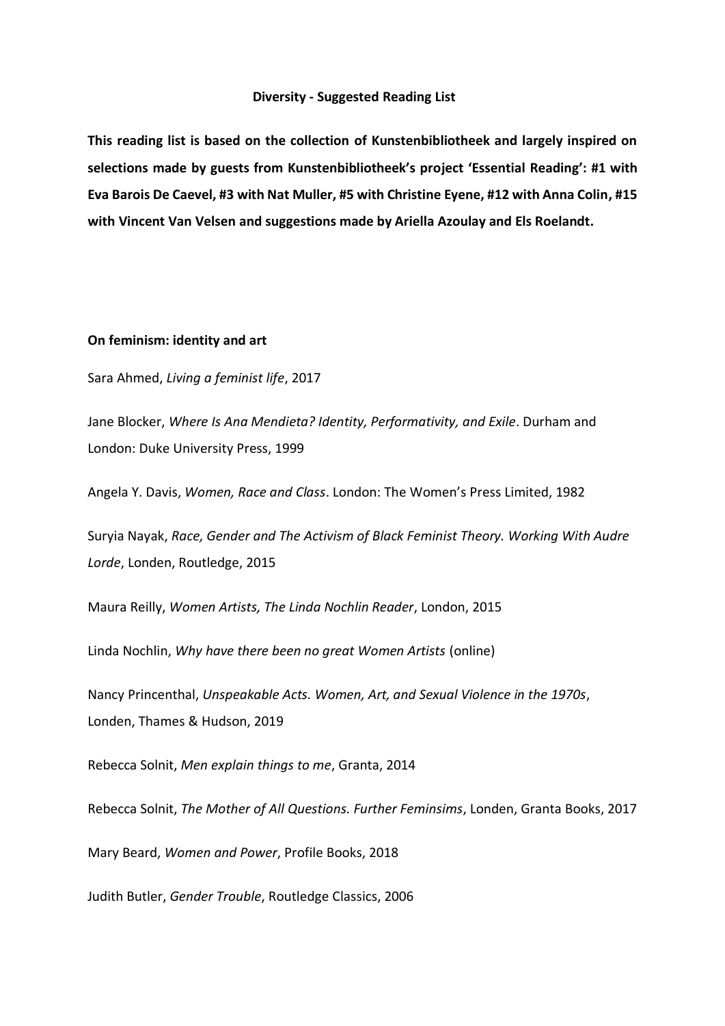#### **Diversity - Suggested Reading List**

**This reading list is based on the collection of Kunstenbibliotheek and largely inspired on selections made by guests from Kunstenbibliotheek's project 'Essential Reading': #1 with Eva Barois De Caevel, #3 with Nat Muller, #5 with Christine Eyene, #12 with Anna Colin, #15 with Vincent Van Velsen and suggestions made by Ariella Azoulay and Els Roelandt.** 

### **On feminism: identity and art**

Sara Ahmed, *Living a feminist life*, 2017

Jane Blocker, *Where Is Ana Mendieta? Identity, Performativity, and Exile*. Durham and London: Duke University Press, 1999

Angela Y. Davis, *Women, Race and Class*. London: The Women's Press Limited, 1982

Suryia Nayak, *Race, Gender and The Activism of Black Feminist Theory. Working With Audre Lorde*, Londen, Routledge, 2015

Maura Reilly, *Women Artists, The Linda Nochlin Reader*, London, 2015

Linda Nochlin, *Why have there been no great Women Artists* (online)

Nancy Princenthal, *Unspeakable Acts. Women, Art, and Sexual Violence in the 1970s*, Londen, Thames & Hudson, 2019

Rebecca Solnit, *Men explain things to me*, Granta, 2014

Rebecca Solnit, *The Mother of All Questions. Further Feminsims*, Londen, Granta Books, 2017

Mary Beard, *Women and Power*, Profile Books, 2018

Judith Butler, *Gender Trouble*, Routledge Classics, 2006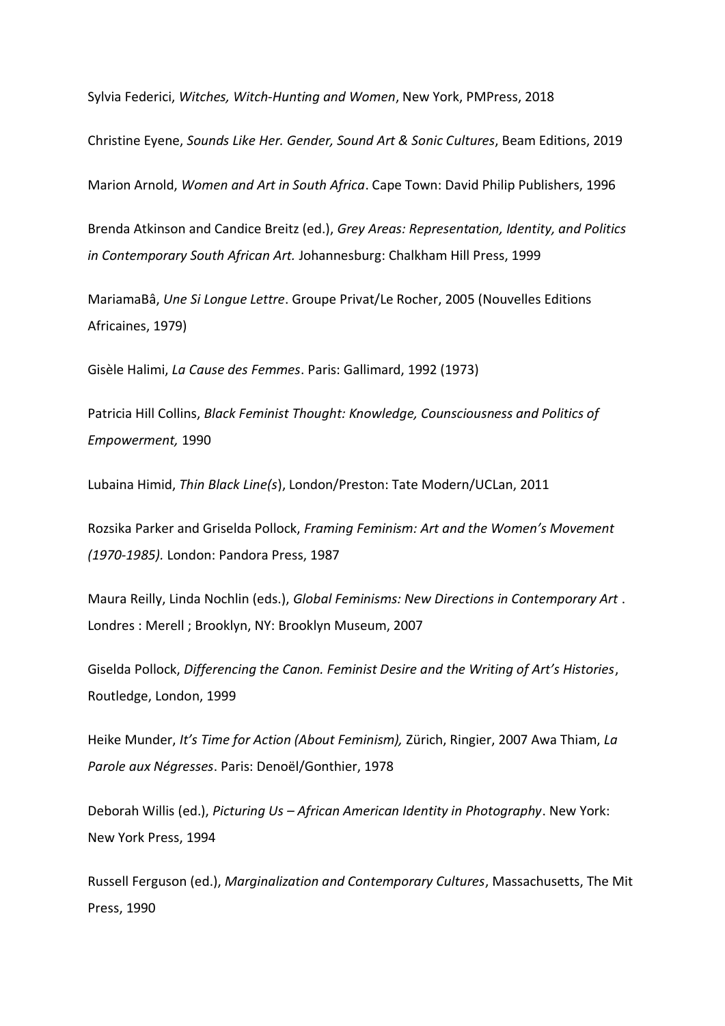Sylvia Federici, *Witches, Witch-Hunting and Women*, New York, PMPress, 2018

Christine Eyene, *Sounds Like Her. Gender, Sound Art & Sonic Cultures*, Beam Editions, 2019

Marion Arnold, *Women and Art in South Africa*. Cape Town: David Philip Publishers, 1996

Brenda Atkinson and Candice Breitz (ed.), *Grey Areas: Representation, Identity, and Politics in Contemporary South African Art.* Johannesburg: Chalkham Hill Press, 1999

MariamaBâ, *Une Si Longue Lettre*. Groupe Privat/Le Rocher, 2005 (Nouvelles Editions Africaines, 1979)

Gisèle Halimi, *La Cause des Femmes*. Paris: Gallimard, 1992 (1973)

Patricia Hill Collins, *Black Feminist Thought: Knowledge, Counsciousness and Politics of Empowerment,* 1990

Lubaina Himid, *Thin Black Line(s*), London/Preston: Tate Modern/UCLan, 2011

Rozsika Parker and Griselda Pollock, *Framing Feminism: Art and the Women's Movement (1970-1985).* London: Pandora Press, 1987

Maura Reilly, Linda Nochlin (eds.), *Global Feminisms: New Directions in Contemporary Art* . Londres : Merell ; Brooklyn, NY: Brooklyn Museum, 2007

Giselda Pollock, *Differencing the Canon. Feminist Desire and the Writing of Art's Histories*, Routledge, London, 1999

Heike Munder, *It's Time for Action (About Feminism),* Zürich, Ringier, 2007 Awa Thiam, *La Parole aux Négresses*. Paris: Denoël/Gonthier, 1978

Deborah Willis (ed.), *Picturing Us – African American Identity in Photography*. New York: New York Press, 1994

Russell Ferguson (ed.), *Marginalization and Contemporary Cultures*, Massachusetts, The Mit Press, 1990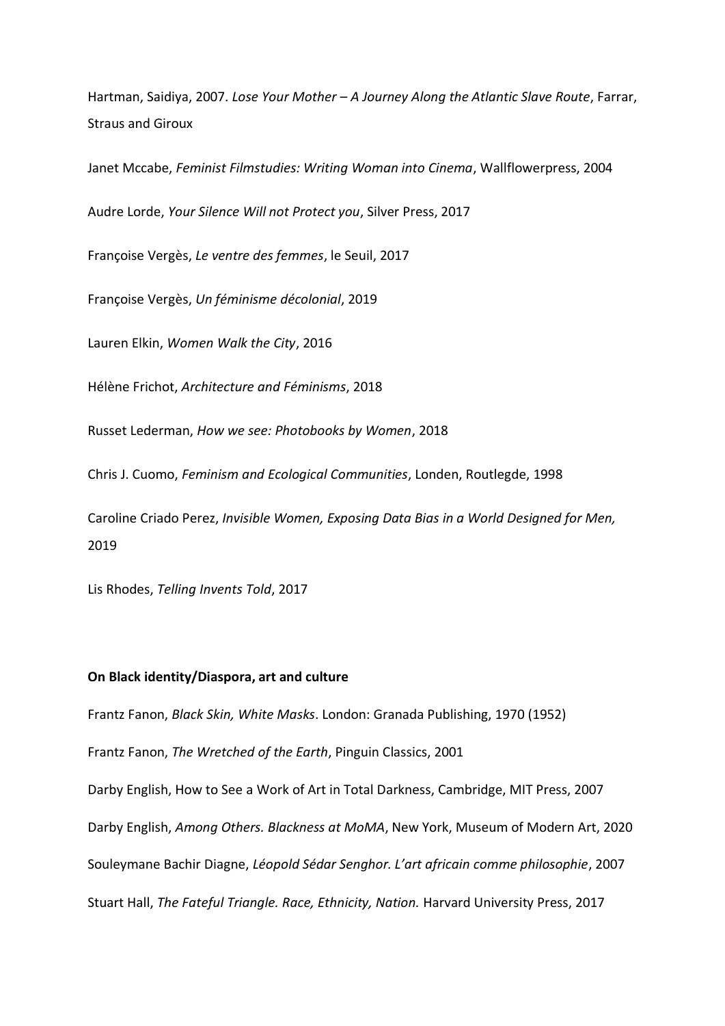Hartman, Saidiya, 2007. *Lose Your Mother – A Journey Along the Atlantic Slave Route*, Farrar, Straus and Giroux

Janet Mccabe, *Feminist Filmstudies: Writing Woman into Cinema*, Wallflowerpress, 2004

Audre Lorde, *Your Silence Will not Protect you*, Silver Press, 2017

Françoise Vergès, *Le ventre des femmes*, le Seuil, 2017

Françoise Vergès, *Un féminisme décolonial*, 2019

Lauren Elkin, *Women Walk the City*, 2016

Hélène Frichot, *Architecture and Féminisms*, 2018

Russet Lederman, *How we see: Photobooks by Women*, 2018

Chris J. Cuomo, *Feminism and Ecological Communities*, Londen, Routlegde, 1998

Caroline Criado Perez, *Invisible Women, Exposing Data Bias in a World Designed for Men,*  2019

Lis Rhodes, *Telling Invents Told*, 2017

## **On Black identity/Diaspora, art and culture**

Frantz Fanon, *Black Skin, White Masks*. London: Granada Publishing, 1970 (1952)

Frantz Fanon, *The Wretched of the Earth*, Pinguin Classics, 2001

Darby English, How to See a Work of Art in Total Darkness, Cambridge, MIT Press, 2007 Darby English, *Among Others. Blackness at MoMA*, New York, Museum of Modern Art, 2020 Souleymane Bachir Diagne, *Léopold Sédar Senghor. L'art africain comme philosophie*, 2007 Stuart Hall, *The Fateful Triangle. Race, Ethnicity, Nation.* Harvard University Press, 2017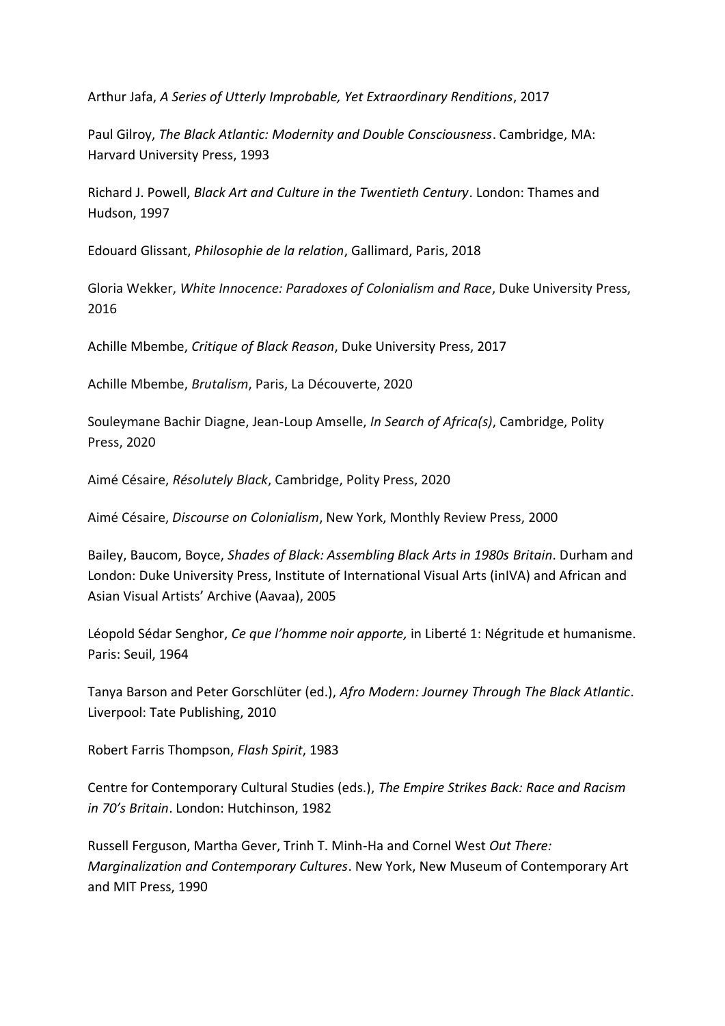Arthur Jafa, *A Series of Utterly Improbable, Yet Extraordinary Renditions*, 2017

Paul Gilroy, *The Black Atlantic: Modernity and Double Consciousness*. Cambridge, MA: Harvard University Press, 1993

Richard J. Powell, *Black Art and Culture in the Twentieth Century*. London: Thames and Hudson, 1997

Edouard Glissant, *Philosophie de la relation*, Gallimard, Paris, 2018

Gloria Wekker, *White Innocence: Paradoxes of Colonialism and Race*, Duke University Press, 2016

Achille Mbembe, *Critique of Black Reason*, Duke University Press, 2017

Achille Mbembe, *Brutalism*, Paris, La Découverte, 2020

Souleymane Bachir Diagne, Jean-Loup Amselle, *In Search of Africa(s)*, Cambridge, Polity Press, 2020

Aimé Césaire, *Résolutely Black*, Cambridge, Polity Press, 2020

Aimé Césaire, *Discourse on Colonialism*, New York, Monthly Review Press, 2000

Bailey, Baucom, Boyce, *Shades of Black: Assembling Black Arts in 1980s Britain*. Durham and London: Duke University Press, Institute of International Visual Arts (inIVA) and African and Asian Visual Artists' Archive (Aavaa), 2005

Léopold Sédar Senghor, *Ce que l'homme noir apporte,* in Liberté 1: Négritude et humanisme. Paris: Seuil, 1964

Tanya Barson and Peter Gorschlüter (ed.), *Afro Modern: Journey Through The Black Atlantic*. Liverpool: Tate Publishing, 2010

Robert Farris Thompson, *Flash Spirit*, 1983

Centre for Contemporary Cultural Studies (eds.), *The Empire Strikes Back: Race and Racism in 70's Britain*. London: Hutchinson, 1982

Russell Ferguson, Martha Gever, Trinh T. Minh-Ha and Cornel West *Out There: Marginalization and Contemporary Cultures*. New York, New Museum of Contemporary Art and MIT Press, 1990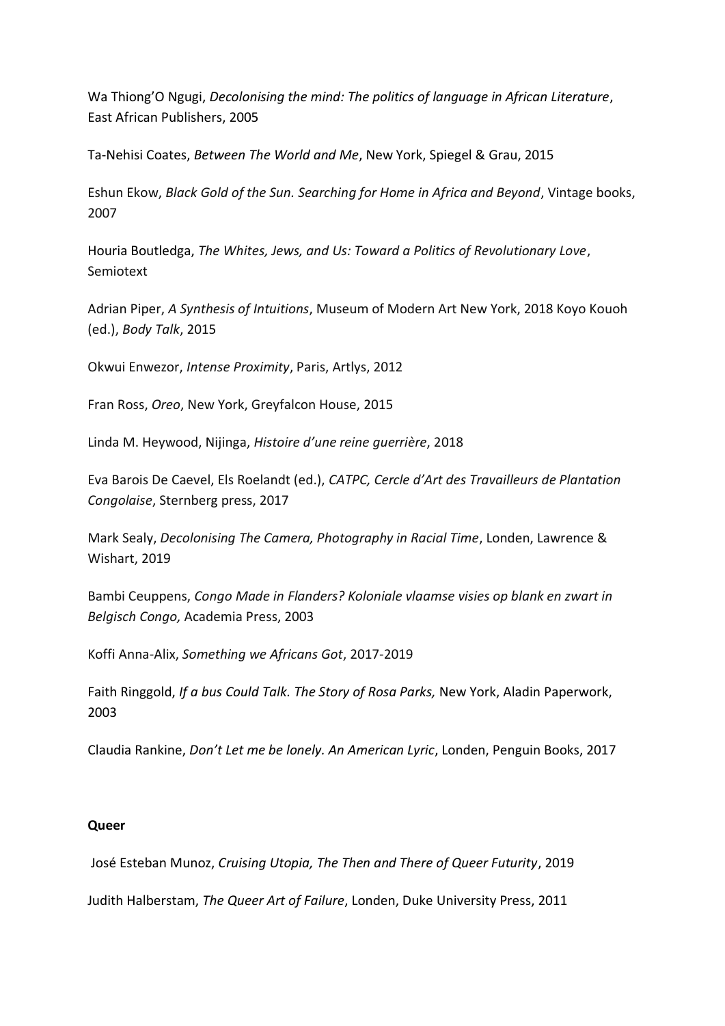Wa Thiong'O Ngugi, *Decolonising the mind: The politics of language in African Literature*, East African Publishers, 2005

Ta-Nehisi Coates, *Between The World and Me*, New York, Spiegel & Grau, 2015

Eshun Ekow, *Black Gold of the Sun. Searching for Home in Africa and Beyond*, Vintage books, 2007

Houria Boutledga, *The Whites, Jews, and Us: Toward a Politics of Revolutionary Love*, Semiotext

Adrian Piper, *A Synthesis of Intuitions*, Museum of Modern Art New York, 2018 Koyo Kouoh (ed.), *Body Talk*, 2015

Okwui Enwezor, *Intense Proximity*, Paris, Artlys, 2012

Fran Ross, *Oreo*, New York, Greyfalcon House, 2015

Linda M. Heywood, Nijinga, *Histoire d'une reine guerrière*, 2018

Eva Barois De Caevel, Els Roelandt (ed.), *CATPC, Cercle d'Art des Travailleurs de Plantation Congolaise*, Sternberg press, 2017

Mark Sealy, *Decolonising The Camera, Photography in Racial Time*, Londen, Lawrence & Wishart, 2019

Bambi Ceuppens, *Congo Made in Flanders? Koloniale vlaamse visies op blank en zwart in Belgisch Congo,* Academia Press, 2003

Koffi Anna-Alix, *Something we Africans Got*, 2017-2019

Faith Ringgold, *If a bus Could Talk. The Story of Rosa Parks,* New York, Aladin Paperwork, 2003

Claudia Rankine, *Don't Let me be lonely. An American Lyric*, Londen, Penguin Books, 2017

# **Queer**

José Esteban Munoz, *Cruising Utopia, The Then and There of Queer Futurity*, 2019

Judith Halberstam, *The Queer Art of Failure*, Londen, Duke University Press, 2011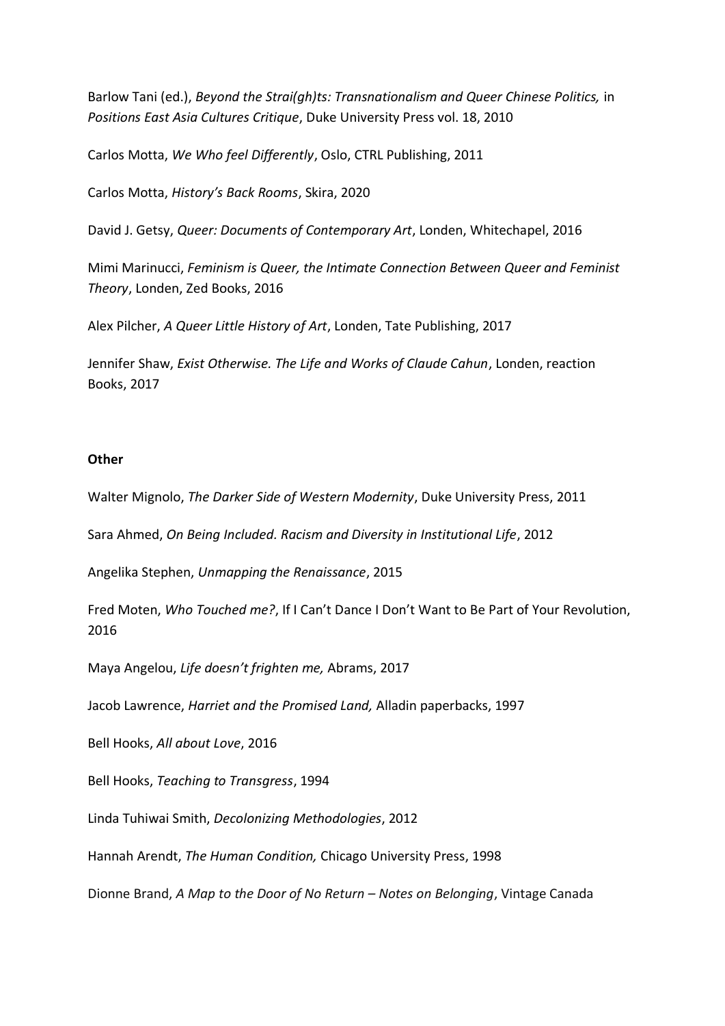Barlow Tani (ed.), *Beyond the Strai(gh)ts: Transnationalism and Queer Chinese Politics,* in *Positions East Asia Cultures Critique*, Duke University Press vol. 18, 2010

Carlos Motta, *We Who feel Differently*, Oslo, CTRL Publishing, 2011

Carlos Motta, *History's Back Rooms*, Skira, 2020

David J. Getsy, *Queer: Documents of Contemporary Art*, Londen, Whitechapel, 2016

Mimi Marinucci, *Feminism is Queer, the Intimate Connection Between Queer and Feminist Theory*, Londen, Zed Books, 2016

Alex Pilcher, *A Queer Little History of Art*, Londen, Tate Publishing, 2017

Jennifer Shaw, *Exist Otherwise. The Life and Works of Claude Cahun*, Londen, reaction Books, 2017

# **Other**

Walter Mignolo, *The Darker Side of Western Modernity*, Duke University Press, 2011

Sara Ahmed, *On Being Included. Racism and Diversity in Institutional Life*, 2012

Angelika Stephen, *Unmapping the Renaissance*, 2015

Fred Moten, *Who Touched me?*, If I Can't Dance I Don't Want to Be Part of Your Revolution, 2016

Maya Angelou, *Life doesn't frighten me,* Abrams, 2017

Jacob Lawrence, *Harriet and the Promised Land,* Alladin paperbacks, 1997

Bell Hooks, *All about Love*, 2016

Bell Hooks, *Teaching to Transgress*, 1994

Linda Tuhiwai Smith, *Decolonizing Methodologies*, 2012

Hannah Arendt, *The Human Condition,* Chicago University Press, 1998

Dionne Brand, *A Map to the Door of No Return – Notes on Belonging*, Vintage Canada